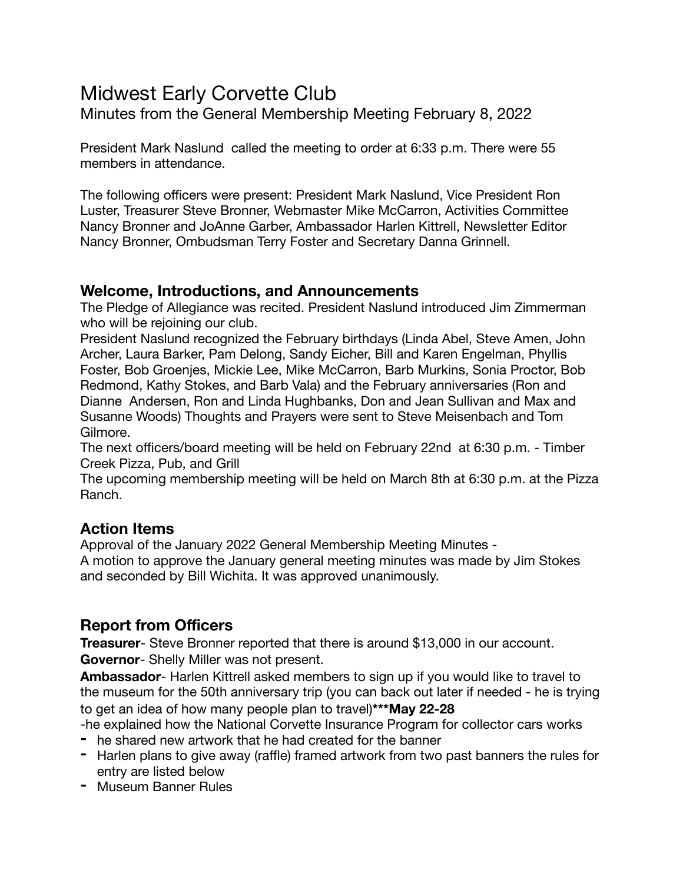# Midwest Early Corvette Club

Minutes from the General Membership Meeting February 8, 2022

President Mark Naslund called the meeting to order at 6:33 p.m. There were 55 members in attendance.

The following officers were present: President Mark Naslund, Vice President Ron Luster, Treasurer Steve Bronner, Webmaster Mike McCarron, Activities Committee Nancy Bronner and JoAnne Garber, Ambassador Harlen Kittrell, Newsletter Editor Nancy Bronner, Ombudsman Terry Foster and Secretary Danna Grinnell.

#### **Welcome, Introductions, and Announcements**

The Pledge of Allegiance was recited. President Naslund introduced Jim Zimmerman who will be rejoining our club.

President Naslund recognized the February birthdays (Linda Abel, Steve Amen, John Archer, Laura Barker, Pam Delong, Sandy Eicher, Bill and Karen Engelman, Phyllis Foster, Bob Groenjes, Mickie Lee, Mike McCarron, Barb Murkins, Sonia Proctor, Bob Redmond, Kathy Stokes, and Barb Vala) and the February anniversaries (Ron and Dianne Andersen, Ron and Linda Hughbanks, Don and Jean Sullivan and Max and Susanne Woods) Thoughts and Prayers were sent to Steve Meisenbach and Tom Gilmore.

The next officers/board meeting will be held on February 22nd at 6:30 p.m. - Timber Creek Pizza, Pub, and Grill

The upcoming membership meeting will be held on March 8th at 6:30 p.m. at the Pizza Ranch.

#### **Action Items**

Approval of the January 2022 General Membership Meeting Minutes - A motion to approve the January general meeting minutes was made by Jim Stokes and seconded by Bill Wichita. It was approved unanimously.

#### **Report from Officers**

**Treasurer**- Steve Bronner reported that there is around \$13,000 in our account. **Governor**- Shelly Miller was not present.

**Ambassador**- Harlen Kittrell asked members to sign up if you would like to travel to the museum for the 50th anniversary trip (you can back out later if needed - he is trying to get an idea of how many people plan to travel)**\*\*\*May 22-28**

-he explained how the National Corvette Insurance Program for collector cars works

- **-** he shared new artwork that he had created for the banner
- **-** Harlen plans to give away (raffle) framed artwork from two past banners the rules for entry are listed below
- **-** Museum Banner Rules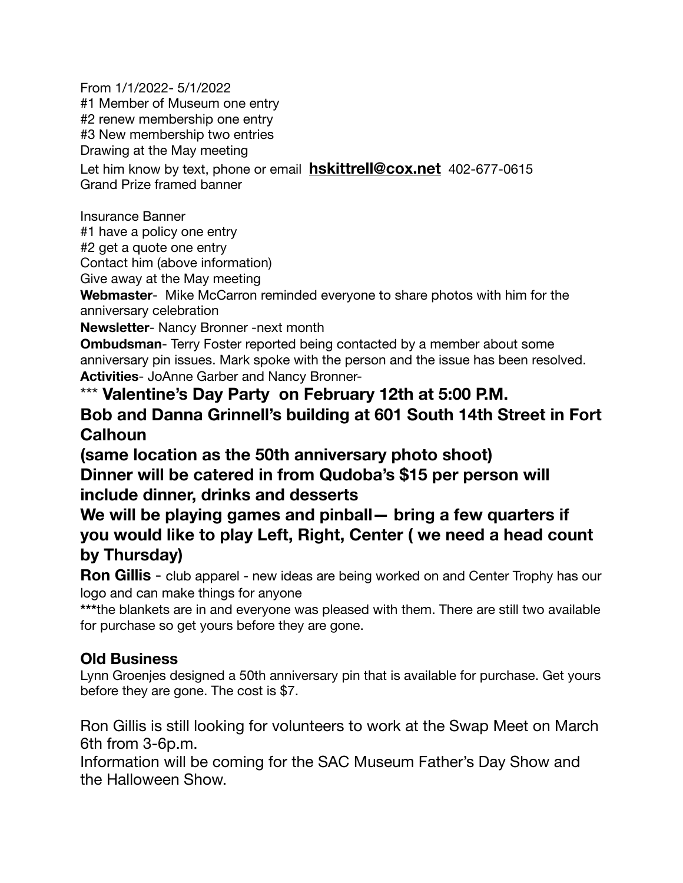From 1/1/2022- 5/1/2022 #1 Member of Museum one entry #2 renew membership one entry #3 New membership two entries Drawing at the May meeting Let him know by text, phone or email **[hskittrell@cox.net](mailto:hskittrell@cox.net)** 402-677-0615

Grand Prize framed banner

Insurance Banner

#1 have a policy one entry

#2 get a quote one entry

Contact him (above information)

Give away at the May meeting

**Webmaster**- Mike McCarron reminded everyone to share photos with him for the anniversary celebration

**Newsletter**- Nancy Bronner -next month

**Ombudsman**- Terry Foster reported being contacted by a member about some anniversary pin issues. Mark spoke with the person and the issue has been resolved. **Activities**- JoAnne Garber and Nancy Bronner-

\*\*\* **Valentine's Day Party on February 12th at 5:00 P.M. Bob and Danna Grinnell's building at 601 South 14th Street in Fort Calhoun** 

**(same location as the 50th anniversary photo shoot) Dinner will be catered in from Qudoba's \$15 per person will include dinner, drinks and desserts** 

**We will be playing games and pinball— bring a few quarters if you would like to play Left, Right, Center ( we need a head count by Thursday)** 

**Ron Gillis** - club apparel - new ideas are being worked on and Center Trophy has our logo and can make things for anyone

\*\*\* the blankets are in and everyone was pleased with them. There are still two available for purchase so get yours before they are gone.

## **Old Business**

Lynn Groenjes designed a 50th anniversary pin that is available for purchase. Get yours before they are gone. The cost is \$7.

Ron Gillis is still looking for volunteers to work at the Swap Meet on March 6th from 3-6p.m.

Information will be coming for the SAC Museum Father's Day Show and the Halloween Show.